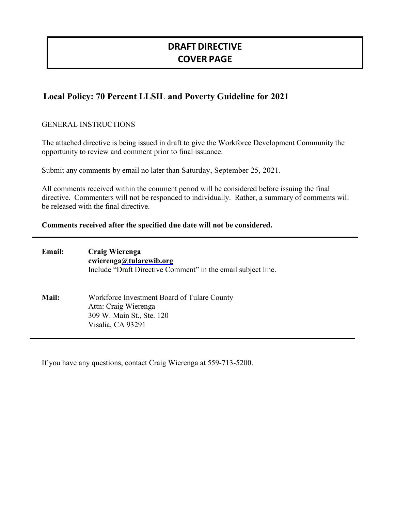# **DRAFTDIRECTIVE COVER PAGE**

# **Local Policy: 70 Percent LLSIL and Poverty Guideline for 2021**

# GENERAL INSTRUCTIONS

The attached directive is being issued in draft to give the Workforce Development Community the opportunity to review and comment prior to final issuance.

Submit any comments by email no later than Saturday, September 25, 2021.

All comments received within the comment period will be considered before issuing the final directive. Commenters will not be responded to individually. Rather, a summary of comments will be released with the final directive.

#### **Comments received after the specified due date will not be considered.**

| <b>Email:</b> | Craig Wierenga<br>cwierenga@tularewib.org<br>Include "Draft Directive Comment" in the email subject line.             |
|---------------|-----------------------------------------------------------------------------------------------------------------------|
| <b>Mail:</b>  | Workforce Investment Board of Tulare County<br>Attn: Craig Wierenga<br>309 W. Main St., Ste. 120<br>Visalia, CA 93291 |

If you have any questions, contact Craig Wierenga at 559-713-5200.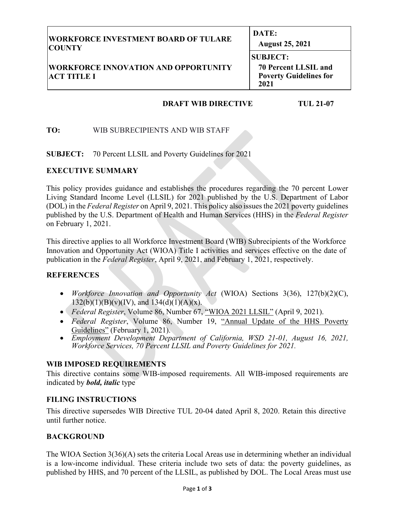| <b>WORKFORCE INVESTMENT BOARD OF TULARE</b>                       | DATE:                                                                                   |  |
|-------------------------------------------------------------------|-----------------------------------------------------------------------------------------|--|
| <b>COUNTY</b>                                                     | <b>August 25, 2021</b>                                                                  |  |
| <b>WORKFORCE INNOVATION AND OPPORTUNITY</b><br><b>ACT TITLE I</b> | <b>SUBJECT:</b><br><b>70 Percent LLSIL and</b><br><b>Poverty Guidelines for</b><br>2021 |  |

#### **DRAFT WIB DIRECTIVE TUL 21-07**

# **TO:** WIB SUBRECIPIENTS AND WIB STAFF

**SUBJECT:** 70 Percent LLSIL and Poverty Guidelines for 2021

#### **EXECUTIVE SUMMARY**

This policy provides guidance and establishes the procedures regarding the 70 percent Lower Living Standard Income Level (LLSIL) for 2021 published by the U.S. Department of Labor (DOL) in the *Federal Register* on April 9, 2021. This policy also issues the 2021 poverty guidelines published by the U.S. Department of Health and Human Services (HHS) in the *Federal Register* on February 1, 2021.

This directive applies to all Workforce Investment Board (WIB) Subrecipients of the Workforce Innovation and Opportunity Act (WIOA) Title I activities and services effective on the date of publication in the *Federal Register*, April 9, 2021, and February 1, 2021, respectively.

#### **REFERENCES**

- *Workforce Innovation and Opportunity Act* (WIOA) Sections 3(36), 127(b)(2)(C),  $132(b)(1)(B)(v)(IV)$ , and  $134(d)(1)(A)(x)$ .
- *Federal Register*, Volume 86, Number 67, "WIOA 2021 LLSIL" (April 9, 2021).
- *Federal Register*, Volume 86, Number 19, "Annual Update of the HHS Poverty Guidelines" (February 1, 2021).
- *Employment Development Department of California, WSD 21-01, August 16, 2021, Workforce Services, 70 Percent LLSIL and Poverty Guidelines for 2021.*

# **WIB IMPOSED REQUIREMENTS**

This directive contains some WIB-imposed requirements. All WIB-imposed requirements are indicated by *bold, italic* type

#### **FILING INSTRUCTIONS**

This directive supersedes WIB Directive TUL 20-04 dated April 8, 2020. Retain this directive until further notice.

#### **BACKGROUND**

The WIOA Section 3(36)(A) sets the criteria Local Areas use in determining whether an individual is a low-income individual. These criteria include two sets of data: the poverty guidelines, as published by HHS, and 70 percent of the LLSIL, as published by DOL. The Local Areas must use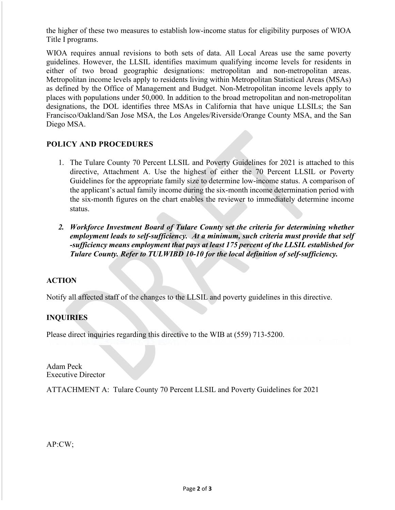the higher of these two measures to establish low-income status for eligibility purposes of WIOA Title I programs.

WIOA requires annual revisions to both sets of data. All Local Areas use the same poverty guidelines. However, the LLSIL identifies maximum qualifying income levels for residents in either of two broad geographic designations: metropolitan and non-metropolitan areas. Metropolitan income levels apply to residents living within Metropolitan Statistical Areas (MSAs) as defined by the Office of Management and Budget. Non-Metropolitan income levels apply to places with populations under 50,000. In addition to the broad metropolitan and non-metropolitan designations, the DOL identifies three MSAs in California that have unique LLSILs; the San Francisco/Oakland/San Jose MSA, the Los Angeles/Riverside/Orange County MSA, and the San Diego MSA.

# **POLICY AND PROCEDURES**

- 1. The Tulare County 70 Percent LLSIL and Poverty Guidelines for 2021 is attached to this directive, Attachment A. Use the highest of either the 70 Percent LLSIL or Poverty Guidelines for the appropriate family size to determine low-income status. A comparison of the applicant's actual family income during the six-month income determination period with the six-month figures on the chart enables the reviewer to immediately determine income status.
- *2. Workforce Investment Board of Tulare County set the criteria for determining whether employment leads to self-sufficiency. At a minimum, such criteria must provide that self -sufficiency means employment that pays at least 175 percent of the LLSIL established for Tulare County. Refer to TULWIBD 10-10 for the local definition of self-sufficiency.*

# **ACTION**

Notify all affected staff of the changes to the LLSIL and poverty guidelines in this directive.

# **INQUIRIES**

Please direct inquiries regarding this directive to the WIB at (559) 713-5200.

Adam Peck Executive Director

ATTACHMENT A: Tulare County 70 Percent LLSIL and Poverty Guidelines for 2021

AP:CW;